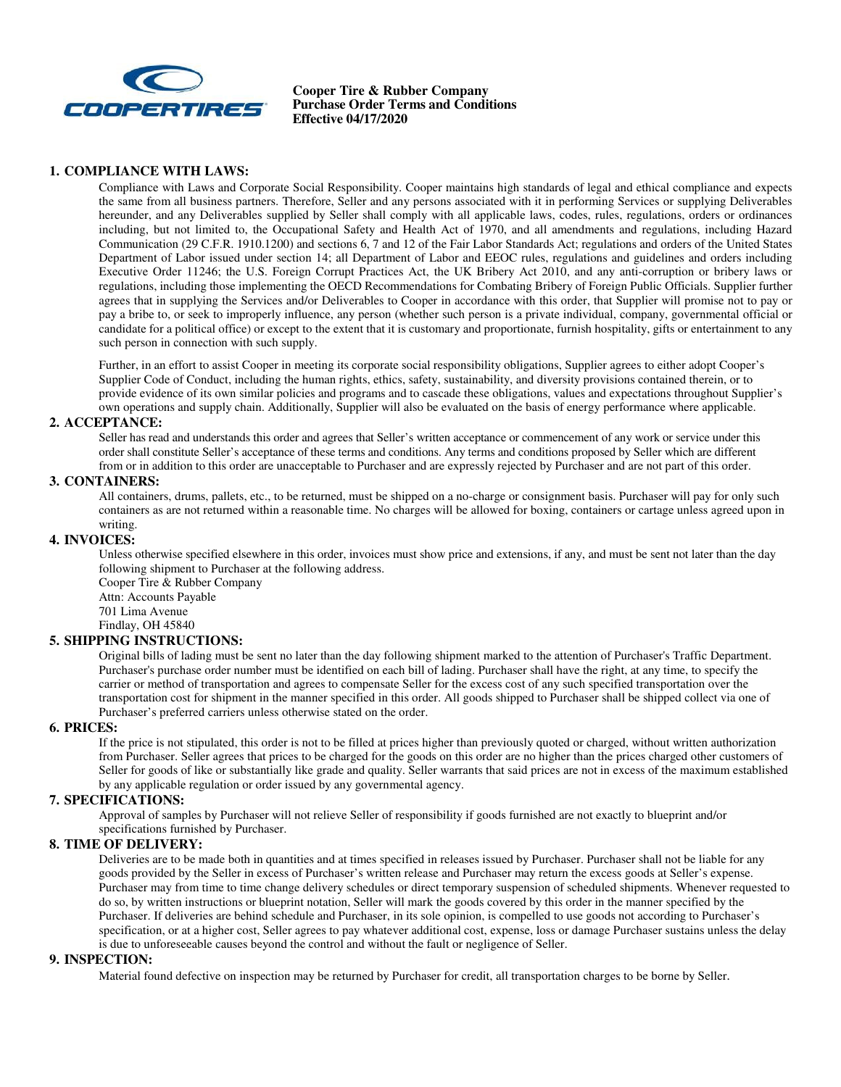

**Cooper Tire & Rubber Company Purchase Order Terms and Conditions Effective 04/17/2020** 

## **1. COMPLIANCE WITH LAWS:**

Compliance with Laws and Corporate Social Responsibility. Cooper maintains high standards of legal and ethical compliance and expects the same from all business partners. Therefore, Seller and any persons associated with it in performing Services or supplying Deliverables hereunder, and any Deliverables supplied by Seller shall comply with all applicable laws, codes, rules, regulations, orders or ordinances including, but not limited to, the Occupational Safety and Health Act of 1970, and all amendments and regulations, including Hazard Communication (29 C.F.R. 1910.1200) and sections 6, 7 and 12 of the Fair Labor Standards Act; regulations and orders of the United States Department of Labor issued under section 14; all Department of Labor and EEOC rules, regulations and guidelines and orders including Executive Order 11246; the U.S. Foreign Corrupt Practices Act, the UK Bribery Act 2010, and any anti-corruption or bribery laws or regulations, including those implementing the OECD Recommendations for Combating Bribery of Foreign Public Officials. Supplier further agrees that in supplying the Services and/or Deliverables to Cooper in accordance with this order, that Supplier will promise not to pay or pay a bribe to, or seek to improperly influence, any person (whether such person is a private individual, company, governmental official or candidate for a political office) or except to the extent that it is customary and proportionate, furnish hospitality, gifts or entertainment to any such person in connection with such supply.

Further, in an effort to assist Cooper in meeting its corporate social responsibility obligations, Supplier agrees to either adopt Cooper's Supplier Code of Conduct, including the human rights, ethics, safety, sustainability, and diversity provisions contained therein, or to provide evidence of its own similar policies and programs and to cascade these obligations, values and expectations throughout Supplier's own operations and supply chain. Additionally, Supplier will also be evaluated on the basis of energy performance where applicable.

## **2. ACCEPTANCE:**

Seller has read and understands this order and agrees that Seller's written acceptance or commencement of any work or service under this order shall constitute Seller's acceptance of these terms and conditions. Any terms and conditions proposed by Seller which are different from or in addition to this order are unacceptable to Purchaser and are expressly rejected by Purchaser and are not part of this order.

### **3. CONTAINERS:**

All containers, drums, pallets, etc., to be returned, must be shipped on a no-charge or consignment basis. Purchaser will pay for only such containers as are not returned within a reasonable time. No charges will be allowed for boxing, containers or cartage unless agreed upon in writing.

## **4. INVOICES:**

Unless otherwise specified elsewhere in this order, invoices must show price and extensions, if any, and must be sent not later than the day following shipment to Purchaser at the following address.

Cooper Tire & Rubber Company Attn: Accounts Payable 701 Lima Avenue Findlay, OH 45840

## **5. SHIPPING INSTRUCTIONS:**

Original bills of lading must be sent no later than the day following shipment marked to the attention of Purchaser's Traffic Department. Purchaser's purchase order number must be identified on each bill of lading. Purchaser shall have the right, at any time, to specify the carrier or method of transportation and agrees to compensate Seller for the excess cost of any such specified transportation over the transportation cost for shipment in the manner specified in this order. All goods shipped to Purchaser shall be shipped collect via one of Purchaser's preferred carriers unless otherwise stated on the order.

#### **6. PRICES:**

If the price is not stipulated, this order is not to be filled at prices higher than previously quoted or charged, without written authorization from Purchaser. Seller agrees that prices to be charged for the goods on this order are no higher than the prices charged other customers of Seller for goods of like or substantially like grade and quality. Seller warrants that said prices are not in excess of the maximum established by any applicable regulation or order issued by any governmental agency.

## **7. SPECIFICATIONS:**

Approval of samples by Purchaser will not relieve Seller of responsibility if goods furnished are not exactly to blueprint and/or specifications furnished by Purchaser.

# **8. TIME OF DELIVERY:**

Deliveries are to be made both in quantities and at times specified in releases issued by Purchaser. Purchaser shall not be liable for any goods provided by the Seller in excess of Purchaser's written release and Purchaser may return the excess goods at Seller's expense. Purchaser may from time to time change delivery schedules or direct temporary suspension of scheduled shipments. Whenever requested to do so, by written instructions or blueprint notation, Seller will mark the goods covered by this order in the manner specified by the Purchaser. If deliveries are behind schedule and Purchaser, in its sole opinion, is compelled to use goods not according to Purchaser's specification, or at a higher cost, Seller agrees to pay whatever additional cost, expense, loss or damage Purchaser sustains unless the delay is due to unforeseeable causes beyond the control and without the fault or negligence of Seller.

#### **9. INSPECTION:**

Material found defective on inspection may be returned by Purchaser for credit, all transportation charges to be borne by Seller.